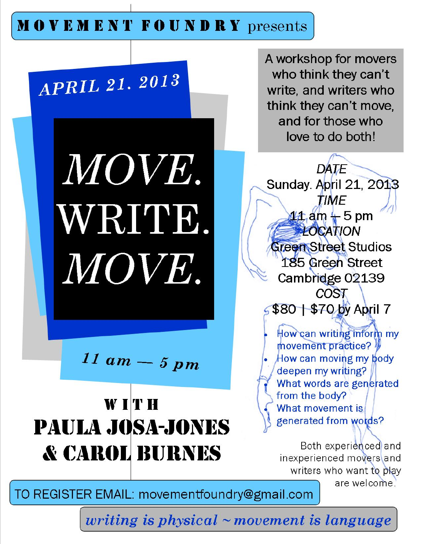## **MOVEMENT FOUNDRY** presents



writing is physical  $\sim$  movement is language